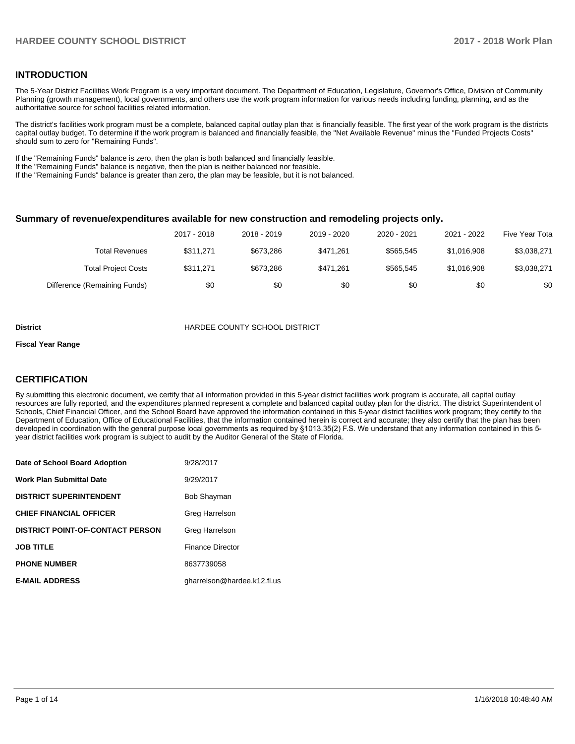## **INTRODUCTION**

The 5-Year District Facilities Work Program is a very important document. The Department of Education, Legislature, Governor's Office, Division of Community Planning (growth management), local governments, and others use the work program information for various needs including funding, planning, and as the authoritative source for school facilities related information.

The district's facilities work program must be a complete, balanced capital outlay plan that is financially feasible. The first year of the work program is the districts capital outlay budget. To determine if the work program is balanced and financially feasible, the "Net Available Revenue" minus the "Funded Projects Costs" should sum to zero for "Remaining Funds".

If the "Remaining Funds" balance is zero, then the plan is both balanced and financially feasible.

If the "Remaining Funds" balance is negative, then the plan is neither balanced nor feasible.

If the "Remaining Funds" balance is greater than zero, the plan may be feasible, but it is not balanced.

#### **Summary of revenue/expenditures available for new construction and remodeling projects only.**

|                              | 2017 - 2018 | 2018 - 2019 | 2019 - 2020 | 2020 - 2021 | 2021 - 2022 | Five Year Tota |
|------------------------------|-------------|-------------|-------------|-------------|-------------|----------------|
| <b>Total Revenues</b>        | \$311.271   | \$673.286   | \$471.261   | \$565.545   | \$1.016.908 | \$3,038,271    |
| <b>Total Project Costs</b>   | \$311.271   | \$673.286   | \$471.261   | \$565.545   | \$1.016.908 | \$3,038,271    |
| Difference (Remaining Funds) | \$0         | \$0         | \$0         | \$0         | \$0         | \$0            |

#### **District COUNTY SCHOOL DISTRICT**

#### **Fiscal Year Range**

# **CERTIFICATION**

By submitting this electronic document, we certify that all information provided in this 5-year district facilities work program is accurate, all capital outlay resources are fully reported, and the expenditures planned represent a complete and balanced capital outlay plan for the district. The district Superintendent of Schools, Chief Financial Officer, and the School Board have approved the information contained in this 5-year district facilities work program; they certify to the Department of Education, Office of Educational Facilities, that the information contained herein is correct and accurate; they also certify that the plan has been developed in coordination with the general purpose local governments as required by §1013.35(2) F.S. We understand that any information contained in this 5year district facilities work program is subject to audit by the Auditor General of the State of Florida.

| Date of School Board Adoption           | 9/28/2017                   |
|-----------------------------------------|-----------------------------|
| <b>Work Plan Submittal Date</b>         | 9/29/2017                   |
| <b>DISTRICT SUPERINTENDENT</b>          | <b>Bob Shayman</b>          |
| <b>CHIEF FINANCIAL OFFICER</b>          | Greg Harrelson              |
| <b>DISTRICT POINT-OF-CONTACT PERSON</b> | Greg Harrelson              |
| <b>JOB TITLE</b>                        | <b>Finance Director</b>     |
| <b>PHONE NUMBER</b>                     | 8637739058                  |
| <b>E-MAIL ADDRESS</b>                   | gharrelson@hardee.k12.fl.us |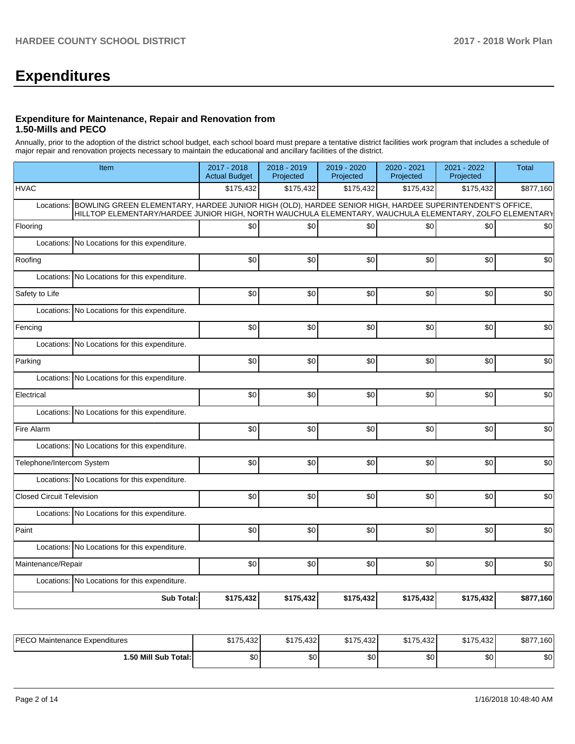# **Expenditures**

## **Expenditure for Maintenance, Repair and Renovation from 1.50-Mills and PECO**

Annually, prior to the adoption of the district school budget, each school board must prepare a tentative district facilities work program that includes a schedule of major repair and renovation projects necessary to maintain the educational and ancillary facilities of the district.

| Item                                                                                                                                                                                                                             | 2017 - 2018<br><b>Actual Budget</b> | 2018 - 2019<br>Projected | 2019 - 2020<br>Projected | 2020 - 2021<br>Projected | 2021 - 2022<br>Projected | <b>Total</b> |  |  |  |  |
|----------------------------------------------------------------------------------------------------------------------------------------------------------------------------------------------------------------------------------|-------------------------------------|--------------------------|--------------------------|--------------------------|--------------------------|--------------|--|--|--|--|
| <b>HVAC</b>                                                                                                                                                                                                                      | \$175,432                           | \$175,432                | \$175,432                | \$175,432                | \$175,432                | \$877,160    |  |  |  |  |
| BOWLING GREEN ELEMENTARY, HARDEE JUNIOR HIGH (OLD), HARDEE SENIOR HIGH, HARDEE SUPERINTENDENT'S OFFICE,<br>Locations:<br>HILLTOP ELEMENTARY/HARDEE JUNIOR HIGH, NORTH WAUCHULA ELEMENTARY, WAUCHULA ELEMENTARY, ZOLFO ELEMENTARY |                                     |                          |                          |                          |                          |              |  |  |  |  |
| Flooring                                                                                                                                                                                                                         | \$0                                 | \$0                      | \$0                      | \$0                      | \$0                      | \$0          |  |  |  |  |
| No Locations for this expenditure.<br>Locations:                                                                                                                                                                                 |                                     |                          |                          |                          |                          |              |  |  |  |  |
| Roofing                                                                                                                                                                                                                          | \$0                                 | \$0                      | \$0                      | \$0                      | \$0                      | \$0          |  |  |  |  |
| Locations: No Locations for this expenditure.                                                                                                                                                                                    |                                     |                          |                          |                          |                          |              |  |  |  |  |
| Safety to Life                                                                                                                                                                                                                   | \$0                                 | \$0                      | \$0                      | \$0                      | \$0                      | \$0          |  |  |  |  |
| Locations: No Locations for this expenditure.                                                                                                                                                                                    |                                     |                          |                          |                          |                          |              |  |  |  |  |
| Fencing                                                                                                                                                                                                                          | \$0                                 | \$0                      | \$0                      | \$0                      | \$0                      | \$0          |  |  |  |  |
| Locations: No Locations for this expenditure.                                                                                                                                                                                    |                                     |                          |                          |                          |                          |              |  |  |  |  |
| Parking                                                                                                                                                                                                                          | \$0                                 | \$0                      | \$0                      | \$0                      | \$0                      | \$0          |  |  |  |  |
| Locations: No Locations for this expenditure.                                                                                                                                                                                    |                                     |                          |                          |                          |                          |              |  |  |  |  |
| Electrical                                                                                                                                                                                                                       | \$0                                 | \$0                      | \$0                      | \$0                      | \$0                      | \$0          |  |  |  |  |
| Locations: No Locations for this expenditure.                                                                                                                                                                                    |                                     |                          |                          |                          |                          |              |  |  |  |  |
| Fire Alarm                                                                                                                                                                                                                       | \$0                                 | \$0                      | \$0                      | \$0                      | \$0                      | \$0          |  |  |  |  |
| Locations: No Locations for this expenditure.                                                                                                                                                                                    |                                     |                          |                          |                          |                          |              |  |  |  |  |
| Telephone/Intercom System                                                                                                                                                                                                        | \$0                                 | \$0                      | \$0                      | \$0                      | \$0                      | \$0          |  |  |  |  |
| Locations: No Locations for this expenditure.                                                                                                                                                                                    |                                     |                          |                          |                          |                          |              |  |  |  |  |
| <b>Closed Circuit Television</b>                                                                                                                                                                                                 | \$0                                 | \$0                      | \$0                      | \$0                      | \$0                      | \$0          |  |  |  |  |
| Locations: No Locations for this expenditure.                                                                                                                                                                                    |                                     |                          |                          |                          |                          |              |  |  |  |  |
| Paint                                                                                                                                                                                                                            | \$0                                 | \$0                      | \$0                      | \$0                      | \$0                      | \$0          |  |  |  |  |
| Locations: No Locations for this expenditure.                                                                                                                                                                                    |                                     |                          |                          |                          |                          |              |  |  |  |  |
| Maintenance/Repair                                                                                                                                                                                                               | \$0                                 | \$0                      | \$0                      | \$0                      | \$0                      | \$0          |  |  |  |  |
| Locations: No Locations for this expenditure.                                                                                                                                                                                    |                                     |                          |                          |                          |                          |              |  |  |  |  |
| <b>Sub Total:</b>                                                                                                                                                                                                                | \$175,432                           | \$175,432                | \$175,432                | \$175,432                | \$175,432                | \$877,160    |  |  |  |  |

| <b>PECO</b><br>› Maintenance Expenditures | <b>CATE</b><br>4221<br>15,432 | <b>4175</b><br>132 I<br>▪ ∠د4.د ، | \$175,432 | \$175,432 | \$175,432 | \$87<br>7.160 |
|-------------------------------------------|-------------------------------|-----------------------------------|-----------|-----------|-----------|---------------|
| 1.50 Mill Sub Total:İ                     | \$0                           | \$0                               | \$0       | \$0       | \$0       | \$0           |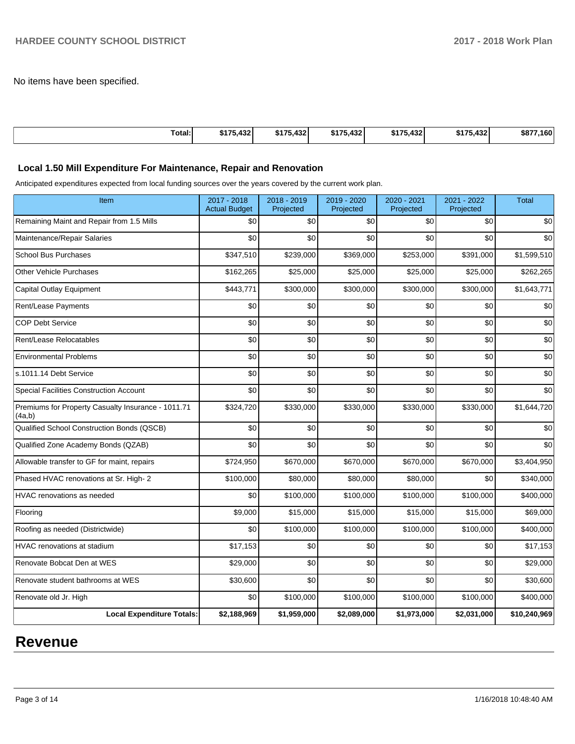No items have been specified.

| [Total: | \$175.432 | \$175.432 | \$175.432 | \$175.432 | \$175.432 | \$877,160 |
|---------|-----------|-----------|-----------|-----------|-----------|-----------|

# **Local 1.50 Mill Expenditure For Maintenance, Repair and Renovation**

Anticipated expenditures expected from local funding sources over the years covered by the current work plan.

| Item                                                         | 2017 - 2018<br><b>Actual Budget</b> | 2018 - 2019<br>Projected | 2019 - 2020<br>Projected | 2020 - 2021<br>Projected | 2021 - 2022<br>Projected | <b>Total</b> |
|--------------------------------------------------------------|-------------------------------------|--------------------------|--------------------------|--------------------------|--------------------------|--------------|
| Remaining Maint and Repair from 1.5 Mills                    | \$0                                 | \$0                      | \$0                      | \$0                      | \$0                      | \$0          |
| Maintenance/Repair Salaries                                  | \$0                                 | \$0                      | \$0                      | \$0                      | \$0                      | \$0          |
| <b>School Bus Purchases</b>                                  | \$347,510                           | \$239,000                | \$369,000                | \$253,000                | \$391,000                | \$1,599,510  |
| <b>Other Vehicle Purchases</b>                               | \$162,265                           | \$25,000                 | \$25,000                 | \$25,000                 | \$25,000                 | \$262,265    |
| <b>Capital Outlay Equipment</b>                              | \$443,771                           | \$300,000                | \$300,000                | \$300,000                | \$300,000                | \$1,643,771  |
| Rent/Lease Payments                                          | \$0                                 | \$0                      | \$0                      | \$0                      | \$0                      | \$0          |
| <b>COP Debt Service</b>                                      | \$0                                 | \$0                      | \$0                      | \$0                      | \$0                      | \$0          |
| Rent/Lease Relocatables                                      | \$0                                 | \$0                      | \$0                      | \$0                      | \$0                      | \$0          |
| <b>Environmental Problems</b>                                | \$0                                 | \$0                      | \$0                      | \$0                      | \$0                      | \$0          |
| s.1011.14 Debt Service                                       | \$0                                 | \$0                      | \$0                      | \$0                      | \$0                      | \$0          |
| <b>Special Facilities Construction Account</b>               | \$0                                 | \$0                      | \$0                      | \$0                      | \$0                      | \$0          |
| Premiums for Property Casualty Insurance - 1011.71<br>(4a,b) | \$324,720                           | \$330,000                | \$330,000                | \$330,000                | \$330,000                | \$1,644,720  |
| Qualified School Construction Bonds (QSCB)                   | \$0                                 | \$0                      | \$0                      | \$0                      | \$0                      | \$0          |
| Qualified Zone Academy Bonds (QZAB)                          | \$0                                 | \$0                      | \$0                      | \$0                      | \$0                      | \$0          |
| Allowable transfer to GF for maint, repairs                  | \$724,950                           | \$670,000                | \$670,000                | \$670,000                | \$670,000                | \$3,404,950  |
| Phased HVAC renovations at Sr. High- 2                       | \$100,000                           | \$80,000                 | \$80,000                 | \$80,000                 | \$0                      | \$340,000    |
| HVAC renovations as needed                                   | \$0                                 | \$100,000                | \$100,000                | \$100,000                | \$100,000                | \$400,000    |
| Flooring                                                     | \$9,000                             | \$15,000                 | \$15,000                 | \$15,000                 | \$15,000                 | \$69,000     |
| Roofing as needed (Districtwide)                             | \$0                                 | \$100,000                | \$100,000                | \$100,000                | \$100,000                | \$400,000    |
| <b>HVAC</b> renovations at stadium                           | \$17,153                            | \$0                      | \$0                      | \$0                      | \$0                      | \$17,153     |
| Renovate Bobcat Den at WES                                   | \$29,000                            | \$0                      | \$0                      | \$0                      | \$0                      | \$29,000     |
| Renovate student bathrooms at WES                            | \$30,600                            | \$0                      | \$0                      | \$0                      | \$0                      | \$30,600     |
| Renovate old Jr. High                                        | \$0                                 | \$100,000                | \$100,000                | \$100,000                | \$100,000                | \$400,000    |
| <b>Local Expenditure Totals:</b>                             | \$2,188,969                         | \$1,959,000              | \$2,089,000              | \$1,973,000              | \$2,031,000              | \$10,240,969 |

# **Revenue**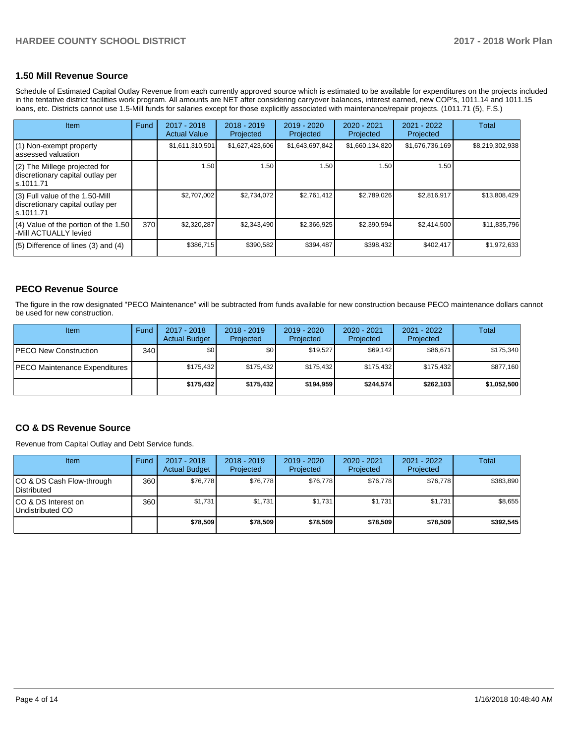# **1.50 Mill Revenue Source**

Schedule of Estimated Capital Outlay Revenue from each currently approved source which is estimated to be available for expenditures on the projects included in the tentative district facilities work program. All amounts are NET after considering carryover balances, interest earned, new COP's, 1011.14 and 1011.15 loans, etc. Districts cannot use 1.5-Mill funds for salaries except for those explicitly associated with maintenance/repair projects. (1011.71 (5), F.S.)

| Item                                                                                | Fund | $2017 - 2018$<br><b>Actual Value</b> | $2018 - 2019$<br>Projected | $2019 - 2020$<br>Projected | $2020 - 2021$<br>Projected | 2021 - 2022<br>Projected | <b>Total</b>    |
|-------------------------------------------------------------------------------------|------|--------------------------------------|----------------------------|----------------------------|----------------------------|--------------------------|-----------------|
| (1) Non-exempt property<br>lassessed valuation                                      |      | \$1,611,310,501                      | \$1,627,423,606            | \$1,643,697,842            | \$1,660,134,820            | \$1,676,736,169          | \$8,219,302,938 |
| $(2)$ The Millege projected for<br>discretionary capital outlay per<br>ls.1011.71   |      | 1.50                                 | 1.50                       | 1.50                       | 1.50                       | 1.50 <sub>1</sub>        |                 |
| $(3)$ Full value of the 1.50-Mill<br>discretionary capital outlay per<br>ls.1011.71 |      | \$2,707,002                          | \$2,734,072                | \$2,761,412                | \$2,789,026                | \$2,816,917              | \$13,808,429    |
| $(4)$ Value of the portion of the 1.50<br>-Mill ACTUALLY levied                     | 370  | \$2,320,287                          | \$2,343,490                | \$2,366,925                | \$2,390,594                | \$2,414,500              | \$11,835,796    |
| $(5)$ Difference of lines $(3)$ and $(4)$                                           |      | \$386,715                            | \$390,582                  | \$394,487                  | \$398,432                  | \$402,417                | \$1,972,633     |

# **PECO Revenue Source**

The figure in the row designated "PECO Maintenance" will be subtracted from funds available for new construction because PECO maintenance dollars cannot be used for new construction.

| <b>Item</b>                          | Fund         | $2017 - 2018$<br><b>Actual Budget</b> | $2018 - 2019$<br>Projected | 2019 - 2020<br>Projected | 2020 - 2021<br>Projected | 2021 - 2022<br>Projected | Total       |
|--------------------------------------|--------------|---------------------------------------|----------------------------|--------------------------|--------------------------|--------------------------|-------------|
| <b>IPECO New Construction</b>        | 340 <b>I</b> | \$0                                   | \$0                        | \$19.527                 | \$69.142                 | \$86,671                 | \$175,340   |
| <b>PECO Maintenance Expenditures</b> |              | \$175.432                             | \$175.432                  | \$175.432                | \$175.432                | \$175.432                | \$877,160   |
|                                      |              | \$175.432                             | \$175,432                  | \$194.959                | \$244.574                | \$262,103                | \$1,052,500 |

## **CO & DS Revenue Source**

Revenue from Capital Outlay and Debt Service funds.

| Item                                      | Fund             | $2017 - 2018$<br><b>Actual Budget</b> | $2018 - 2019$<br>Projected | $2019 - 2020$<br>Projected | $2020 - 2021$<br>Projected | $2021 - 2022$<br>Projected | <b>Total</b> |
|-------------------------------------------|------------------|---------------------------------------|----------------------------|----------------------------|----------------------------|----------------------------|--------------|
| ICO & DS Cash Flow-through<br>Distributed | 360              | \$76.778                              | \$76,778                   | \$76.778                   | \$76,778                   | \$76.778                   | \$383,890    |
| ICO & DS Interest on<br>Undistributed CO  | 360 <sup>1</sup> | \$1,731                               | \$1,731                    | \$1,731                    | \$1.731                    | \$1,731                    | \$8,655      |
|                                           |                  | \$78,509                              | \$78,509                   | \$78,509                   | \$78,509                   | \$78,509                   | \$392,545    |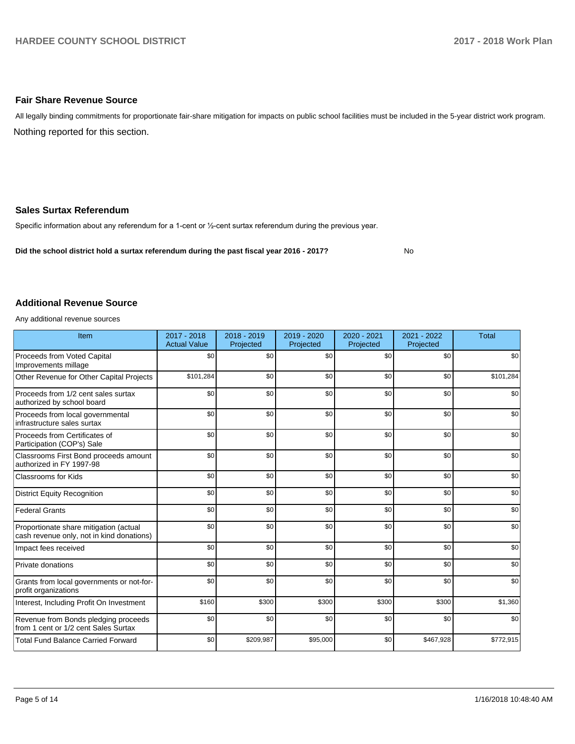## **Fair Share Revenue Source**

Nothing reported for this section. All legally binding commitments for proportionate fair-share mitigation for impacts on public school facilities must be included in the 5-year district work program.

## **Sales Surtax Referendum**

Specific information about any referendum for a 1-cent or 1/2-cent surtax referendum during the previous year.

**Did the school district hold a surtax referendum during the past fiscal year 2016 - 2017?**

No

#### **Additional Revenue Source**

Any additional revenue sources

| Item                                                                                | 2017 - 2018<br><b>Actual Value</b> | 2018 - 2019<br>Projected | 2019 - 2020<br>Projected | 2020 - 2021<br>Projected | 2021 - 2022<br>Projected | <b>Total</b> |
|-------------------------------------------------------------------------------------|------------------------------------|--------------------------|--------------------------|--------------------------|--------------------------|--------------|
| Proceeds from Voted Capital<br>Improvements millage                                 | \$0                                | \$0                      | \$0                      | \$0                      | \$0                      | \$0          |
| Other Revenue for Other Capital Projects                                            | \$101,284                          | \$0                      | \$0                      | \$0                      | \$0                      | \$101,284    |
| Proceeds from 1/2 cent sales surtax<br>authorized by school board                   | \$0                                | \$0                      | \$0                      | \$0                      | \$0                      | \$0          |
| Proceeds from local governmental<br>infrastructure sales surtax                     | \$0                                | \$0                      | \$0                      | \$0                      | \$0                      | \$0          |
| Proceeds from Certificates of<br>Participation (COP's) Sale                         | \$0                                | \$0                      | \$0                      | \$0                      | \$0                      | \$0          |
| Classrooms First Bond proceeds amount<br>authorized in FY 1997-98                   | \$0                                | \$0                      | \$0                      | \$0                      | \$0                      | \$0          |
| <b>Classrooms for Kids</b>                                                          | \$0                                | \$0                      | \$0                      | \$0                      | \$0                      | \$0          |
| <b>District Equity Recognition</b>                                                  | \$0                                | \$0                      | \$0                      | \$0                      | \$0                      | \$0          |
| <b>Federal Grants</b>                                                               | \$0                                | \$0                      | \$0                      | \$0                      | \$0                      | \$0          |
| Proportionate share mitigation (actual<br>cash revenue only, not in kind donations) | \$0                                | \$0                      | \$0                      | \$0                      | \$0                      | \$0          |
| Impact fees received                                                                | \$0                                | \$0                      | \$0                      | \$0                      | \$0                      | \$0          |
| Private donations                                                                   | \$0                                | \$0                      | \$0                      | \$0                      | \$0                      | \$0          |
| Grants from local governments or not-for-<br>profit organizations                   | \$0                                | \$0                      | \$0                      | \$0                      | \$0                      | \$0          |
| Interest, Including Profit On Investment                                            | \$160                              | \$300                    | \$300                    | \$300                    | \$300                    | \$1,360      |
| Revenue from Bonds pledging proceeds<br>from 1 cent or 1/2 cent Sales Surtax        | \$0                                | \$0                      | \$0                      | \$0                      | \$0                      | \$0          |
| <b>Total Fund Balance Carried Forward</b>                                           | \$0                                | \$209,987                | \$95,000                 | \$0                      | \$467,928                | \$772,915    |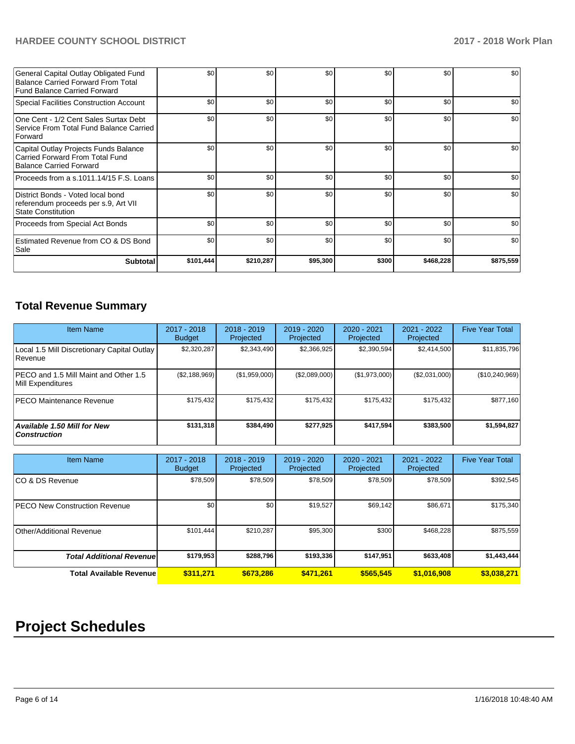# **HARDEE COUNTY SCHOOL DISTRICT 2017 - 2018 Work Plan**

| General Capital Outlay Obligated Fund<br><b>Balance Carried Forward From Total</b><br>Fund Balance Carried Forward | \$0       | \$0       | \$0      | \$0   | \$0       | \$0       |
|--------------------------------------------------------------------------------------------------------------------|-----------|-----------|----------|-------|-----------|-----------|
| Special Facilities Construction Account                                                                            | \$0       | \$0       | \$0      | \$0   | \$0       | \$0       |
| One Cent - 1/2 Cent Sales Surtax Debt<br>Service From Total Fund Balance Carried<br><b>Forward</b>                 | \$0       | \$0       | \$0      | \$0   | \$0       | \$0       |
| Capital Outlay Projects Funds Balance<br>Carried Forward From Total Fund<br>Balance Carried Forward                | \$0       | \$0       | \$0      | \$0   | \$0       | \$0       |
| Proceeds from a s.1011.14/15 F.S. Loans                                                                            | \$0       | \$0       | \$0      | \$0   | \$0       | \$0       |
| District Bonds - Voted local bond<br>referendum proceeds per s.9, Art VII<br><b>State Constitution</b>             | \$0       | \$0       | \$0      | \$0   | \$0       | \$0       |
| Proceeds from Special Act Bonds                                                                                    | \$0       | \$0       | \$0      | \$0   | \$0       | \$0       |
| Estimated Revenue from CO & DS Bond<br>Sale                                                                        | \$0       | \$0       | \$0      | \$0   | \$0       | \$0       |
| <b>Subtotal</b>                                                                                                    | \$101,444 | \$210,287 | \$95,300 | \$300 | \$468,228 | \$875,559 |

# **Total Revenue Summary**

| <b>Item Name</b>                                           | $2017 - 2018$<br><b>Budget</b> | $2018 - 2019$<br>Projected | $2019 - 2020$<br>Projected | $2020 - 2021$<br>Projected | 2021 - 2022<br>Projected | <b>Five Year Total</b> |
|------------------------------------------------------------|--------------------------------|----------------------------|----------------------------|----------------------------|--------------------------|------------------------|
| Local 1.5 Mill Discretionary Capital Outlay<br>Revenue     | \$2,320,287                    | \$2,343,490                | \$2,366,925                | \$2,390,594                | \$2,414,500              | \$11,835,796           |
| PECO and 1.5 Mill Maint and Other 1.5<br>Mill Expenditures | (\$2,188,969)                  | (\$1,959,000)              | (\$2,089,000)              | (\$1,973,000)              | (\$2,031,000)            | (\$10,240,969)         |
| <b>IPECO Maintenance Revenue</b>                           | \$175.432                      | \$175,432                  | \$175.432                  | \$175.432                  | \$175,432                | \$877,160              |
| Available 1.50 Mill for New<br>  Construction              | \$131,318                      | \$384,490                  | \$277,925                  | \$417,594                  | \$383,500                | \$1,594,827            |

| <b>Item Name</b>                     | 2017 - 2018<br><b>Budget</b> | $2018 - 2019$<br>Projected | 2019 - 2020<br>Projected | 2020 - 2021<br>Projected | 2021 - 2022<br>Projected | <b>Five Year Total</b> |
|--------------------------------------|------------------------------|----------------------------|--------------------------|--------------------------|--------------------------|------------------------|
| ICO & DS Revenue                     | \$78,509                     | \$78,509                   | \$78,509                 | \$78,509                 | \$78,509                 | \$392,545              |
| <b>PECO New Construction Revenue</b> | \$0                          | \$0 <sub>1</sub>           | \$19,527                 | \$69,142                 | \$86,671                 | \$175,340              |
| Other/Additional Revenue             | \$101,444                    | \$210,287                  | \$95,300                 | \$300                    | \$468,228                | \$875,559              |
| <b>Total Additional Revenuel</b>     | \$179,953                    | \$288,796                  | \$193,336                | \$147,951                | \$633,408                | \$1,443,444            |
| <b>Total Available Revenue</b>       | \$311.271                    | \$673.286                  | \$471.261                | \$565.545                | \$1,016,908              | \$3,038,271            |

# **Project Schedules**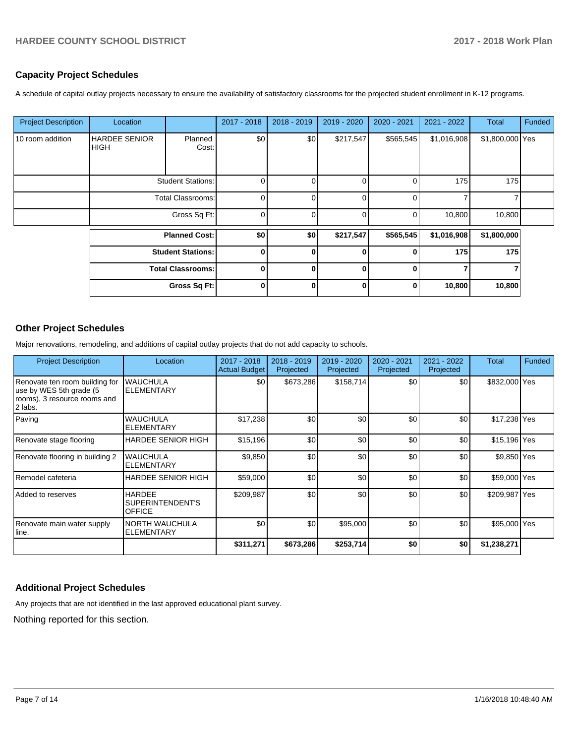# **Capacity Project Schedules**

A schedule of capital outlay projects necessary to ensure the availability of satisfactory classrooms for the projected student enrollment in K-12 programs.

| <b>Project Description</b> | Location                             |                          | 2017 - 2018    | 2018 - 2019 | $2019 - 2020$ | 2020 - 2021 | 2021 - 2022 | Total           | Funded |
|----------------------------|--------------------------------------|--------------------------|----------------|-------------|---------------|-------------|-------------|-----------------|--------|
| 10 room addition           | <b>HARDEE SENIOR</b><br><b>IHIGH</b> | Planned<br>Cost:         | \$0            | \$0         | \$217,547     | \$565,545   | \$1,016,908 | \$1,800,000 Yes |        |
|                            | <b>Student Stations:</b>             |                          | 0              |             | 0             |             | 175         | 175             |        |
|                            | <b>Total Classrooms:</b>             |                          | 0              |             | $\Omega$      | $\Omega$    | 7           |                 |        |
|                            | Gross Sq Ft:                         |                          | $\overline{0}$ |             | 0             | 0           | 10,800      | 10,800          |        |
|                            | <b>Planned Cost:</b>                 |                          | \$0            | \$0         | \$217,547     | \$565,545   | \$1,016,908 | \$1,800,000     |        |
|                            |                                      | <b>Student Stations:</b> | 0              | Λ           | $\Omega$      | ŋ           | 175         | 175             |        |
|                            |                                      | <b>Total Classrooms:</b> | $\mathbf{0}$   | 0           | $\bf{0}$      | 0           | 7           |                 |        |
|                            |                                      | Gross Sq Ft:             | $\bf{0}$       | ŋ           | $\bf{0}$      | ŋ           | 10,800      | 10,800          |        |

# **Other Project Schedules**

Major renovations, remodeling, and additions of capital outlay projects that do not add capacity to schools.

| <b>Project Description</b>                                                                            | Location                                           | 2017 - 2018<br><b>Actual Budget</b> | 2018 - 2019<br>Projected | 2019 - 2020<br>Projected | 2020 - 2021<br>Projected | 2021 - 2022<br>Projected | Total         | Funded |
|-------------------------------------------------------------------------------------------------------|----------------------------------------------------|-------------------------------------|--------------------------|--------------------------|--------------------------|--------------------------|---------------|--------|
| Renovate ten room building for<br>use by WES 5th grade (5)<br>rooms), 3 resource rooms and<br>2 labs. | <b>WAUCHULA</b><br>ELEMENTARY                      | \$0                                 | \$673,286                | \$158,714                | \$0                      | \$0                      | \$832,000 Yes |        |
| Paving                                                                                                | <b>WAUCHULA</b><br><b>ELEMENTARY</b>               | \$17,238                            | \$0                      | \$0                      | \$0                      | \$0                      | \$17,238 Yes  |        |
| Renovate stage flooring                                                                               | <b>HARDEE SENIOR HIGH</b>                          | \$15,196                            | \$0                      | \$0                      | \$0                      | \$0                      | \$15,196 Yes  |        |
| Renovate flooring in building 2                                                                       | <b>WAUCHULA</b><br><b>ELEMENTARY</b>               | \$9,850                             | \$0                      | \$0                      | \$0                      | \$0                      | \$9,850 Yes   |        |
| Remodel cafeteria                                                                                     | <b>HARDEE SENIOR HIGH</b>                          | \$59,000                            | \$0                      | \$0                      | \$0                      | \$0                      | \$59,000 Yes  |        |
| Added to reserves                                                                                     | <b>HARDEE</b><br>SUPERINTENDENT'S<br><b>OFFICE</b> | \$209,987                           | \$0                      | \$0                      | \$0                      | \$0                      | \$209,987 Yes |        |
| Renovate main water supply<br>lline.                                                                  | <b>NORTH WAUCHULA</b><br><b>ELEMENTARY</b>         | \$0                                 | \$0                      | \$95,000                 | \$0                      | \$0                      | \$95,000 Yes  |        |
|                                                                                                       |                                                    | \$311,271                           | \$673,286                | \$253,714                | \$0                      | \$0                      | \$1,238,271   |        |

## **Additional Project Schedules**

Any projects that are not identified in the last approved educational plant survey.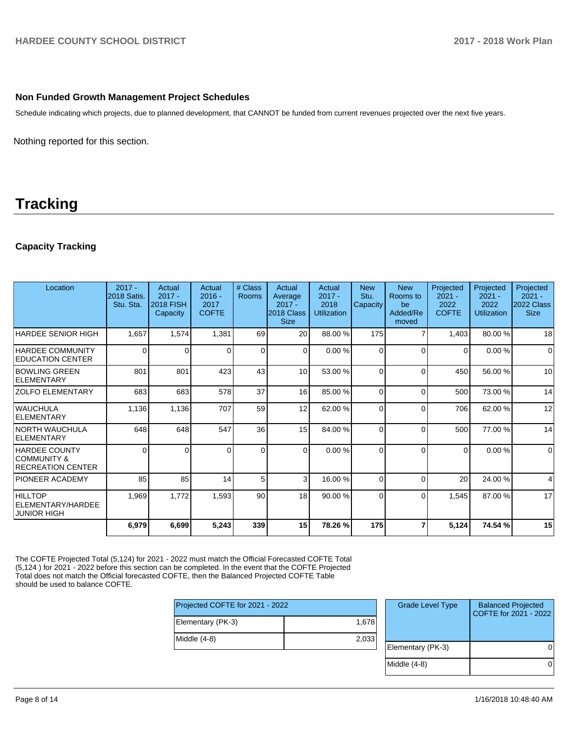## **Non Funded Growth Management Project Schedules**

Schedule indicating which projects, due to planned development, that CANNOT be funded from current revenues projected over the next five years.

Nothing reported for this section.

# **Tracking**

# **Capacity Tracking**

| Location                                                                   | $2017 -$<br>2018 Satis.<br>Stu. Sta. | Actual<br>$2017 -$<br><b>2018 FISH</b><br>Capacity | Actual<br>$2016 -$<br>2017<br><b>COFTE</b> | # Class<br>Rooms | Actual<br>Average<br>$2017 -$<br>2018 Class<br><b>Size</b> | Actual<br>$2017 -$<br>2018<br><b>Utilization</b> | <b>New</b><br>Stu.<br>Capacity | <b>New</b><br>Rooms to<br>be<br>Added/Re<br>moved | Projected<br>$2021 -$<br>2022<br><b>COFTE</b> | Projected<br>$2021 -$<br>2022<br><b>Utilization</b> | Projected<br>$2021 -$<br>2022 Class<br><b>Size</b> |
|----------------------------------------------------------------------------|--------------------------------------|----------------------------------------------------|--------------------------------------------|------------------|------------------------------------------------------------|--------------------------------------------------|--------------------------------|---------------------------------------------------|-----------------------------------------------|-----------------------------------------------------|----------------------------------------------------|
| <b>HARDEE SENIOR HIGH</b>                                                  | 1,657                                | 1,574                                              | 1,381                                      | 69               | 20                                                         | 88.00 %                                          | 175                            |                                                   | 1,403                                         | 80.00 %                                             | 18                                                 |
| HARDEE COMMUNITY<br><b>EDUCATION CENTER</b>                                | 0                                    | $\Omega$                                           | 0                                          | $\Omega$         | $\Omega$                                                   | 0.00%                                            | $\Omega$                       | $\Omega$                                          | $\Omega$                                      | 0.00%                                               | $\Omega$                                           |
| <b>BOWLING GREEN</b><br>ELEMENTARY                                         | 801                                  | 801                                                | 423                                        | 43               | 10                                                         | 53.00 %                                          | $\Omega$                       | $\Omega$                                          | 450                                           | 56.00 %                                             | 10                                                 |
| <b>ZOLFO ELEMENTARY</b>                                                    | 683                                  | 683                                                | 578                                        | 37               | 16 <sup>1</sup>                                            | 85.00 %                                          | $\Omega$                       | $\Omega$                                          | 500                                           | 73.00 %                                             | 14                                                 |
| <b>WAUCHULA</b><br>ELEMENTARY                                              | 1,136                                | 1,136                                              | 707                                        | 59               | 12                                                         | 62.00 %                                          | $\Omega$                       | $\Omega$                                          | 706                                           | 62.00 %                                             | 12                                                 |
| INORTH WAUCHULA<br>ELEMENTARY                                              | 648                                  | 648                                                | 547                                        | 36               | 15                                                         | 84.00 %                                          | $\Omega$                       | $\Omega$                                          | 500                                           | 77.00 %                                             | 14                                                 |
| <b>HARDEE COUNTY</b><br><b>COMMUNITY &amp;</b><br><b>RECREATION CENTER</b> | $\Omega$                             |                                                    |                                            | $\Omega$         | $\Omega$                                                   | 0.00%                                            | $\Omega$                       | $\Omega$                                          | $\Omega$                                      | 0.00%                                               | $\mathbf 0$                                        |
| IPIONEER ACADEMY                                                           | 85                                   | 85                                                 | 14                                         | 5                | 3                                                          | 16.00 %                                          | $\Omega$                       | $\Omega$                                          | 20                                            | 24.00 %                                             | 4                                                  |
| <b>HILLTOP</b><br>ELEMENTARY/HARDEE<br><b>JUNIOR HIGH</b>                  | 1,969                                | 1,772                                              | 1,593                                      | 90               | 18                                                         | 90.00 %                                          | $\Omega$                       | $\Omega$                                          | 1,545                                         | 87.00 %                                             | 17                                                 |
|                                                                            | 6,979                                | 6,699                                              | 5,243                                      | 339              | 15                                                         | 78.26 %                                          | 175                            |                                                   | 5,124                                         | 74.54 %                                             | 15                                                 |

The COFTE Projected Total (5,124) for 2021 - 2022 must match the Official Forecasted COFTE Total (5,124 ) for 2021 - 2022 before this section can be completed. In the event that the COFTE Projected Total does not match the Official forecasted COFTE, then the Balanced Projected COFTE Table should be used to balance COFTE.

| Projected COFTE for 2021 - 2022 |       |  |  |  |
|---------------------------------|-------|--|--|--|
| Elementary (PK-3)               | 1,678 |  |  |  |
| Middle (4-8)                    | 2,033 |  |  |  |
|                                 |       |  |  |  |

| <b>Grade Level Type</b> | <b>Balanced Projected</b><br>COFTE for 2021 - 2022 |
|-------------------------|----------------------------------------------------|
| Elementary (PK-3)       |                                                    |
| Middle (4-8)            |                                                    |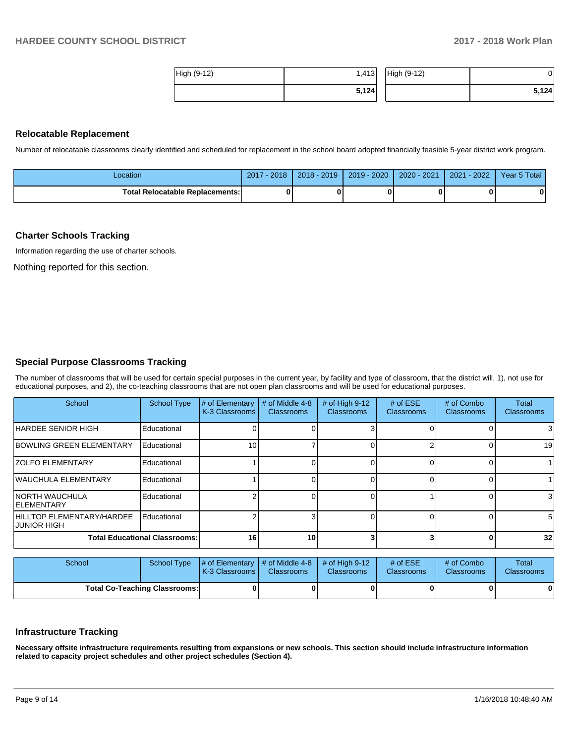| High (9-12) | 1,413 | High (9-12) | י ט   |
|-------------|-------|-------------|-------|
|             | 5,124 |             | 5,124 |

#### **Relocatable Replacement**

Number of relocatable classrooms clearly identified and scheduled for replacement in the school board adopted financially feasible 5-year district work program.

| _ocation                               | $-2018$<br>2017 | 2018 - 2019 | $2019 - 2020$ | 2020 - 2021 | $-2022$<br>2021 | Year 5 Total |
|----------------------------------------|-----------------|-------------|---------------|-------------|-----------------|--------------|
| <b>Total Relocatable Replacements:</b> |                 |             |               |             |                 |              |

#### **Charter Schools Tracking**

Information regarding the use of charter schools.

Nothing reported for this section.

## **Special Purpose Classrooms Tracking**

The number of classrooms that will be used for certain special purposes in the current year, by facility and type of classroom, that the district will, 1), not use for educational purposes, and 2), the co-teaching classrooms that are not open plan classrooms and will be used for educational purposes.

| School                                          | <b>School Type</b> | # of Elementary<br>K-3 Classrooms | # of Middle 4-8<br><b>Classrooms</b> | # of High $9-12$<br><b>Classrooms</b> | # of $ESE$<br>Classrooms | # of Combo<br><b>Classrooms</b> | Total<br><b>Classrooms</b> |
|-------------------------------------------------|--------------------|-----------------------------------|--------------------------------------|---------------------------------------|--------------------------|---------------------------------|----------------------------|
| HARDEE SENIOR HIGH                              | Educational        |                                   |                                      |                                       |                          |                                 | 3                          |
| <b>BOWLING GREEN ELEMENTARY</b>                 | Educational        | 10                                |                                      |                                       |                          |                                 | 19                         |
| <b>ZOLFO ELEMENTARY</b>                         | Educational        |                                   |                                      |                                       |                          |                                 |                            |
| WAUCHULA ELEMENTARY                             | Educational        |                                   |                                      |                                       |                          |                                 |                            |
| INORTH WAUCHULA<br><b>IELEMENTARY</b>           | Educational        |                                   |                                      |                                       |                          |                                 | 3                          |
| HILLTOP ELEMENTARY/HARDEE<br><b>JUNIOR HIGH</b> | Educational        |                                   |                                      |                                       |                          |                                 | 5                          |
| <b>Total Educational Classrooms:</b>            | 16                 | 10                                |                                      |                                       |                          | 32                              |                            |

| School                               | School Type | $\parallel$ # of Elementary $\parallel$ # of Middle 4-8 $\parallel$ # of High 9-12<br><b>K-3 Classrooms I</b> | <b>Classrooms</b> | <b>Classrooms</b> | # of $ESE$<br><b>Classrooms</b> | # of Combo<br><b>Classrooms</b> | Total<br><b>Classrooms</b> |
|--------------------------------------|-------------|---------------------------------------------------------------------------------------------------------------|-------------------|-------------------|---------------------------------|---------------------------------|----------------------------|
| <b>Total Co-Teaching Classrooms:</b> |             |                                                                                                               |                   |                   |                                 | 0                               | 0                          |

## **Infrastructure Tracking**

**Necessary offsite infrastructure requirements resulting from expansions or new schools. This section should include infrastructure information related to capacity project schedules and other project schedules (Section 4).**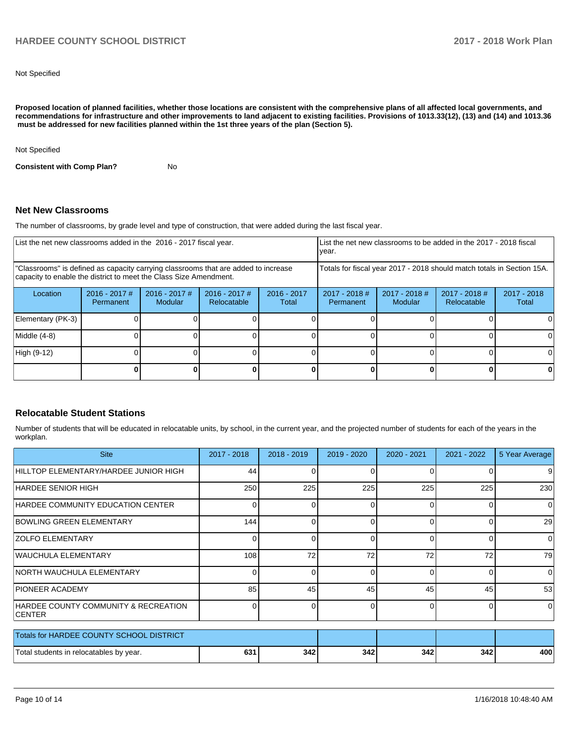Not Specified

**Proposed location of planned facilities, whether those locations are consistent with the comprehensive plans of all affected local governments, and recommendations for infrastructure and other improvements to land adjacent to existing facilities. Provisions of 1013.33(12), (13) and (14) and 1013.36 must be addressed for new facilities planned within the 1st three years of the plan (Section 5).** 

Not Specified

**Consistent with Comp Plan?** No

#### **Net New Classrooms**

The number of classrooms, by grade level and type of construction, that were added during the last fiscal year.

| List the net new classrooms added in the 2016 - 2017 fiscal year.                                                                                       |                              |                            |                                |                        | List the net new classrooms to be added in the 2017 - 2018 fiscal<br>year. |                            |                                |                      |
|---------------------------------------------------------------------------------------------------------------------------------------------------------|------------------------------|----------------------------|--------------------------------|------------------------|----------------------------------------------------------------------------|----------------------------|--------------------------------|----------------------|
| "Classrooms" is defined as capacity carrying classrooms that are added to increase<br>capacity to enable the district to meet the Class Size Amendment. |                              |                            |                                |                        | Totals for fiscal year 2017 - 2018 should match totals in Section 15A.     |                            |                                |                      |
| Location                                                                                                                                                | $2016 - 2017$ #<br>Permanent | $2016 - 2017$ #<br>Modular | $2016 - 2017$ #<br>Relocatable | $2016 - 2017$<br>Total | $2017 - 2018$ #<br>Permanent                                               | $2017 - 2018$ #<br>Modular | $2017 - 2018$ #<br>Relocatable | 2017 - 2018<br>Total |
| Elementary (PK-3)                                                                                                                                       |                              |                            |                                |                        |                                                                            |                            |                                |                      |
| Middle (4-8)                                                                                                                                            |                              |                            |                                |                        |                                                                            |                            |                                |                      |
| High (9-12)                                                                                                                                             |                              |                            |                                |                        |                                                                            |                            |                                |                      |
|                                                                                                                                                         |                              |                            |                                |                        | ŋ                                                                          |                            |                                |                      |

## **Relocatable Student Stations**

Number of students that will be educated in relocatable units, by school, in the current year, and the projected number of students for each of the years in the workplan.

| <b>Site</b>                                           | 2017 - 2018 | $2018 - 2019$ | 2019 - 2020 | 2020 - 2021 | 2021 - 2022  | 5 Year Average |
|-------------------------------------------------------|-------------|---------------|-------------|-------------|--------------|----------------|
| HILLTOP ELEMENTARY/HARDEE JUNIOR HIGH                 | 44          | U             | 0           | $\Omega$    |              | 9              |
| IHARDEE SENIOR HIGH                                   | 250         | 225           | 225         | 225         | 225          | 230            |
| HARDEE COMMUNITY EDUCATION CENTER                     |             |               | 0           | ∩           |              | $\Omega$       |
| <b>BOWLING GREEN ELEMENTARY</b>                       | 144         |               | Οl          | 0           |              | 29             |
| <b>ZOLFO ELEMENTARY</b>                               |             |               | Οl          | $\Omega$    | 0            | 0              |
| WAUCHULA ELEMENTARY                                   | 108         | 72            | 72          | 72          | 72           | 79             |
| NORTH WAUCHULA ELEMENTARY                             | 0           | 0             | 01          | 0           | 0            | $\Omega$       |
| <b>IPIONEER ACADEMY</b>                               | 85          | 45            | 45          | 45          | 45           | 53             |
| HARDEE COUNTY COMMUNITY & RECREATION<br><b>CENTER</b> |             |               | 0           | $\Omega$    | <sup>0</sup> | $\Omega$       |
| Totals for HARDEE COUNTY SCHOOL DISTRICT              |             |               |             |             |              |                |
| Total students in relocatables by year.               | 631         | 342           | 342         | 342         | 342          | 400            |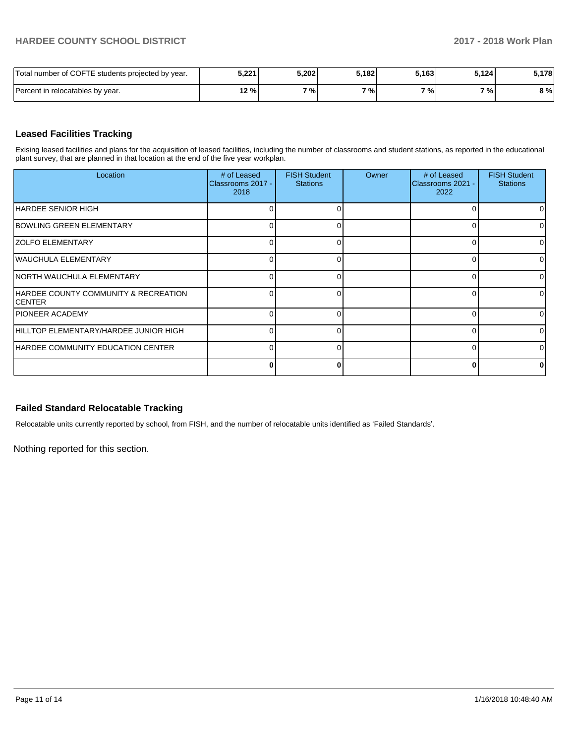# **HARDEE COUNTY SCHOOL DISTRICT 2017 - 2018 Work Plan**

| Total number of COFTE students projected by year. | 5,221 | 5,202 | 5,182 | 5,163 | 5.1241 | 5,178 |
|---------------------------------------------------|-------|-------|-------|-------|--------|-------|
| Percent in relocatables by year.                  | 12 %  | 7%    | 7%    | 7%    | 7%     | 8 %   |

# **Leased Facilities Tracking**

Exising leased facilities and plans for the acquisition of leased facilities, including the number of classrooms and student stations, as reported in the educational plant survey, that are planned in that location at the end of the five year workplan.

| Location                                               | # of Leased<br>Classrooms 2017 -<br>2018 | <b>FISH Student</b><br><b>Stations</b> | Owner | # of Leased<br>Classrooms 2021 -<br>2022 | <b>FISH Student</b><br><b>Stations</b> |
|--------------------------------------------------------|------------------------------------------|----------------------------------------|-------|------------------------------------------|----------------------------------------|
| HARDEE SENIOR HIGH                                     |                                          |                                        |       |                                          | O.                                     |
| <b>BOWLING GREEN ELEMENTARY</b>                        | O                                        |                                        |       |                                          | 0                                      |
| <b>ZOLFO ELEMENTARY</b>                                | ∩                                        |                                        |       | ∩                                        | 0                                      |
| WAUCHULA ELEMENTARY                                    | $\Omega$                                 |                                        |       | n                                        | 0                                      |
| INORTH WAUCHULA ELEMENTARY                             | $\Omega$                                 | ∩                                      |       | $\Omega$                                 | ΩI                                     |
| HARDEE COUNTY COMMUNITY & RECREATION<br><b>ICENTER</b> | $\Omega$                                 |                                        |       | n                                        | ΩI                                     |
| <b>PIONEER ACADEMY</b>                                 | O                                        |                                        |       |                                          | ΩI                                     |
| HILLTOP ELEMENTARY/HARDEE JUNIOR HIGH                  | U                                        |                                        |       |                                          | ΩI                                     |
| HARDEE COMMUNITY EDUCATION CENTER                      | 0                                        |                                        |       |                                          | ΩI                                     |
|                                                        | 0                                        | Λ                                      |       |                                          | 0                                      |

# **Failed Standard Relocatable Tracking**

Relocatable units currently reported by school, from FISH, and the number of relocatable units identified as 'Failed Standards'.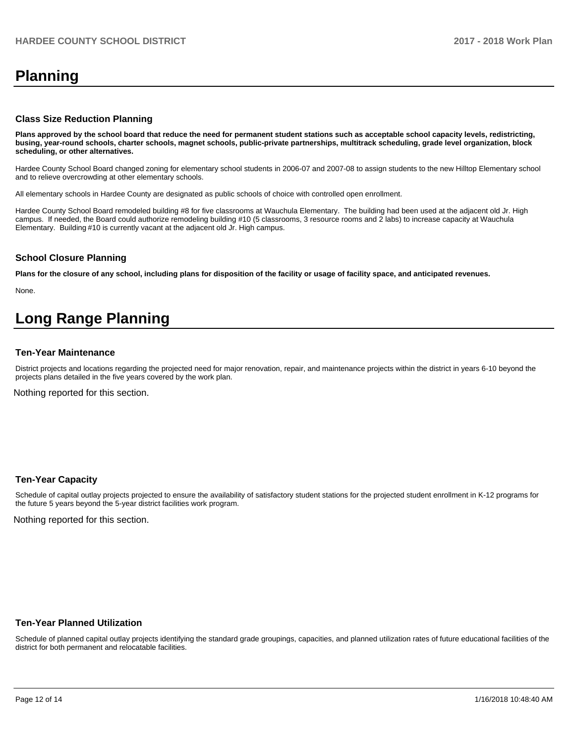# **Planning**

### **Class Size Reduction Planning**

**Plans approved by the school board that reduce the need for permanent student stations such as acceptable school capacity levels, redistricting, busing, year-round schools, charter schools, magnet schools, public-private partnerships, multitrack scheduling, grade level organization, block scheduling, or other alternatives.**

Hardee County School Board changed zoning for elementary school students in 2006-07 and 2007-08 to assign students to the new Hilltop Elementary school and to relieve overcrowding at other elementary schools.

All elementary schools in Hardee County are designated as public schools of choice with controlled open enrollment.

Hardee County School Board remodeled building #8 for five classrooms at Wauchula Elementary. The building had been used at the adjacent old Jr. High campus. If needed, the Board could authorize remodeling building #10 (5 classrooms, 3 resource rooms and 2 labs) to increase capacity at Wauchula Elementary. Building #10 is currently vacant at the adjacent old Jr. High campus.

#### **School Closure Planning**

**Plans for the closure of any school, including plans for disposition of the facility or usage of facility space, and anticipated revenues.** 

None.

# **Long Range Planning**

#### **Ten-Year Maintenance**

District projects and locations regarding the projected need for major renovation, repair, and maintenance projects within the district in years 6-10 beyond the projects plans detailed in the five years covered by the work plan.

Nothing reported for this section.

## **Ten-Year Capacity**

Schedule of capital outlay projects projected to ensure the availability of satisfactory student stations for the projected student enrollment in K-12 programs for the future 5 years beyond the 5-year district facilities work program.

Nothing reported for this section.

#### **Ten-Year Planned Utilization**

Schedule of planned capital outlay projects identifying the standard grade groupings, capacities, and planned utilization rates of future educational facilities of the district for both permanent and relocatable facilities.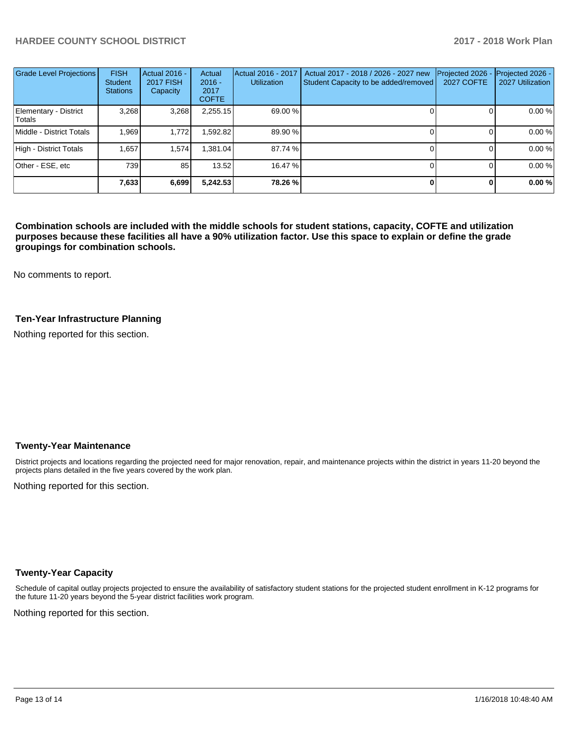# **HARDEE COUNTY SCHOOL DISTRICT 2017 - 2018 Work Plan**

| <b>Grade Level Projections</b>  | <b>FISH</b><br><b>Student</b><br><b>Stations</b> | <b>Actual 2016 -</b><br><b>2017 FISH</b><br>Capacity | Actual<br>$2016 -$<br>2017<br><b>COFTE</b> | Actual 2016 - 2017<br><b>Utilization</b> | Actual 2017 - 2018 / 2026 - 2027 new<br>Student Capacity to be added/removed | Projected 2026<br><b>2027 COFTE</b> | Projected 2026 -<br>2027 Utilization |
|---------------------------------|--------------------------------------------------|------------------------------------------------------|--------------------------------------------|------------------------------------------|------------------------------------------------------------------------------|-------------------------------------|--------------------------------------|
| Elementary - District<br>Totals | 3,268                                            | 3,268                                                | 2,255.15                                   | 69.00 %                                  |                                                                              |                                     | 0.00 %                               |
| Middle - District Totals        | 1.969                                            | 1.772                                                | ,592.82                                    | 89.90 %                                  |                                                                              |                                     | 0.00%                                |
| High - District Totals          | 1.657                                            | 1,574                                                | .381.04                                    | 87.74 %                                  |                                                                              |                                     | 0.00 %                               |
| Other - ESE, etc                | 739                                              | 85                                                   | 13.52                                      | 16.47 %                                  |                                                                              |                                     | 0.00%                                |
|                                 | 7,633                                            | 6,699                                                | 5,242.53                                   | 78.26 %                                  |                                                                              |                                     | 0.00%                                |

**Combination schools are included with the middle schools for student stations, capacity, COFTE and utilization purposes because these facilities all have a 90% utilization factor. Use this space to explain or define the grade groupings for combination schools.** 

No comments to report.

## **Ten-Year Infrastructure Planning**

Nothing reported for this section.

#### **Twenty-Year Maintenance**

District projects and locations regarding the projected need for major renovation, repair, and maintenance projects within the district in years 11-20 beyond the projects plans detailed in the five years covered by the work plan.

Nothing reported for this section.

## **Twenty-Year Capacity**

Schedule of capital outlay projects projected to ensure the availability of satisfactory student stations for the projected student enrollment in K-12 programs for the future 11-20 years beyond the 5-year district facilities work program.